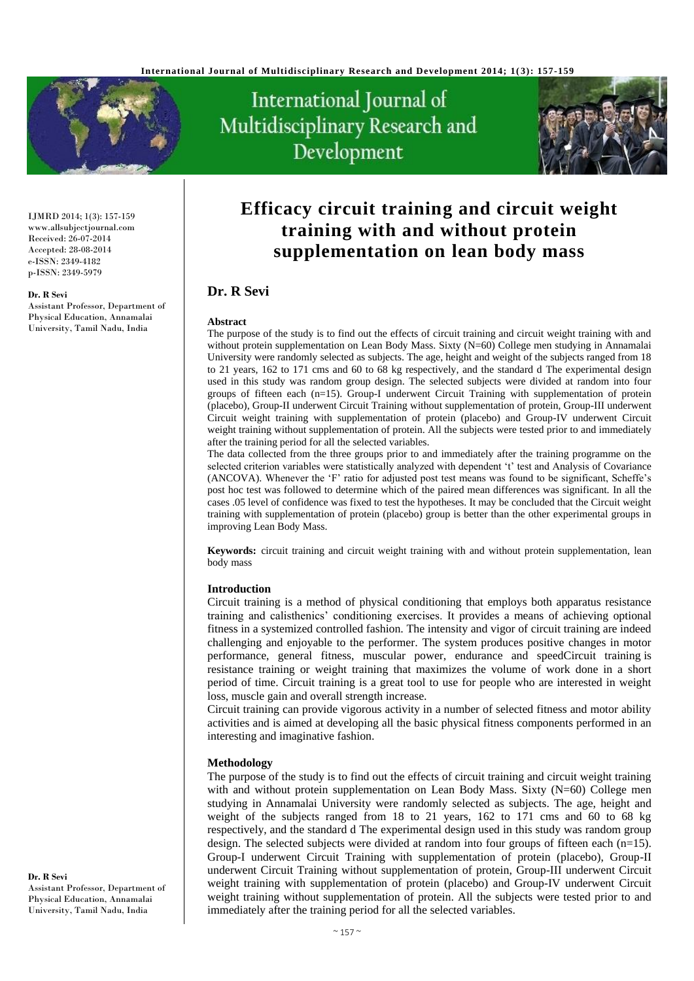

# International Journal of Multidisciplinary Research and Development



IJMRD 2014; 1(3): 157-159 www.allsubjectjournal.com Received: 26-07-2014 Accepted: 28-08-2014 e-ISSN: 2349-4182 p-ISSN: 2349-5979

#### **Dr. R Sevi**

Assistant Professor, Department of Physical Education, Annamalai University, Tamil Nadu, India

# **Efficacy circuit training and circuit weight training with and without protein supplementation on lean body mass**

## **Dr. R Sevi**

#### **Abstract**

The purpose of the study is to find out the effects of circuit training and circuit weight training with and without protein supplementation on Lean Body Mass. Sixty (N=60) College men studying in Annamalai University were randomly selected as subjects. The age, height and weight of the subjects ranged from 18 to 21 years, 162 to 171 cms and 60 to 68 kg respectively, and the standard d The experimental design used in this study was random group design. The selected subjects were divided at random into four groups of fifteen each (n=15). Group-I underwent Circuit Training with supplementation of protein (placebo), Group-II underwent Circuit Training without supplementation of protein, Group-III underwent Circuit weight training with supplementation of protein (placebo) and Group-IV underwent Circuit weight training without supplementation of protein. All the subjects were tested prior to and immediately after the training period for all the selected variables.

The data collected from the three groups prior to and immediately after the training programme on the selected criterion variables were statistically analyzed with dependent 't' test and Analysis of Covariance (ANCOVA). Whenever the 'F' ratio for adjusted post test means was found to be significant, Scheffe's post hoc test was followed to determine which of the paired mean differences was significant. In all the cases .05 level of confidence was fixed to test the hypotheses. It may be concluded that the Circuit weight training with supplementation of protein (placebo) group is better than the other experimental groups in improving Lean Body Mass.

**Keywords:** circuit training and circuit weight training with and without protein supplementation, lean body mass

#### **Introduction**

Circuit training is a method of physical conditioning that employs both apparatus resistance training and calisthenics' conditioning exercises. It provides a means of achieving optional fitness in a systemized controlled fashion. The intensity and vigor of circuit training are indeed challenging and enjoyable to the performer. The system produces positive changes in motor performance, general fitness, muscular power, endurance and speedCircuit training is resistance training or weight training that maximizes the volume of work done in a short period of time. Circuit training is a great tool to use for people who are interested in weight loss, muscle gain and overall strength increase.

Circuit training can provide vigorous activity in a number of selected fitness and motor ability activities and is aimed at developing all the basic physical fitness components performed in an interesting and imaginative fashion.

#### **Methodology**

The purpose of the study is to find out the effects of circuit training and circuit weight training with and without protein supplementation on Lean Body Mass. Sixty (N=60) College men studying in Annamalai University were randomly selected as subjects. The age, height and weight of the subjects ranged from 18 to 21 years, 162 to 171 cms and 60 to 68 kg respectively, and the standard d The experimental design used in this study was random group design. The selected subjects were divided at random into four groups of fifteen each  $(n=15)$ . Group-I underwent Circuit Training with supplementation of protein (placebo), Group-II underwent Circuit Training without supplementation of protein, Group-III underwent Circuit weight training with supplementation of protein (placebo) and Group-IV underwent Circuit weight training without supplementation of protein. All the subjects were tested prior to and immediately after the training period for all the selected variables.

**Dr. R Sevi** Assistant Professor, Department of Physical Education, Annamalai University, Tamil Nadu, India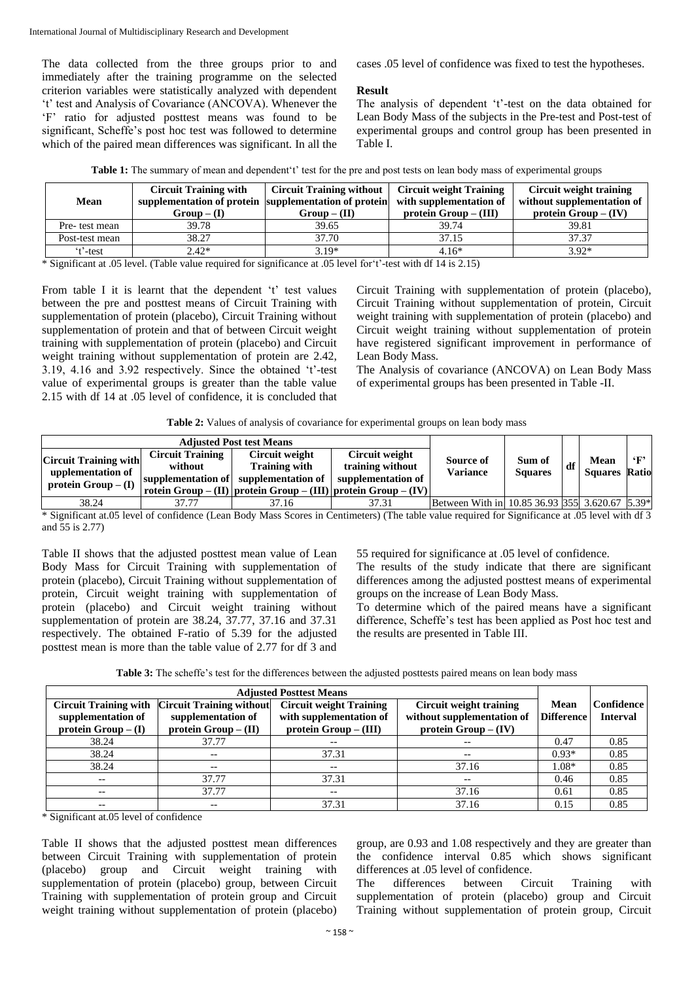The data collected from the three groups prior to and immediately after the training programme on the selected criterion variables were statistically analyzed with dependent 't' test and Analysis of Covariance (ANCOVA). Whenever the 'F' ratio for adjusted posttest means was found to be significant, Scheffe's post hoc test was followed to determine which of the paired mean differences was significant. In all the cases .05 level of confidence was fixed to test the hypotheses.

#### **Result**

The analysis of dependent 't'-test on the data obtained for Lean Body Mass of the subjects in the Pre-test and Post-test of experimental groups and control group has been presented in Table I.

| Table 1: The summary of mean and dependent't' test for the pre and post tests on lean body mass of experimental groups |  |  |
|------------------------------------------------------------------------------------------------------------------------|--|--|
|------------------------------------------------------------------------------------------------------------------------|--|--|

| <b>Mean</b>    | <b>Circuit Training with</b><br>supplementation of protein supplementation of protein<br>$Group-(I)$ | <b>Circuit Training without</b><br>$Group - (II)$ | <b>Circuit weight Training</b><br>with supplementation of<br>$protein Group - (III)$ | Circuit weight training<br>without supplementation of<br>protein $Group-(IV)$ |
|----------------|------------------------------------------------------------------------------------------------------|---------------------------------------------------|--------------------------------------------------------------------------------------|-------------------------------------------------------------------------------|
| Pre- test mean | 39.78                                                                                                | 39.65                                             | 39.74                                                                                | 39.81                                                                         |
| Post-test mean | 38.27                                                                                                | 37.70                                             | 37.15                                                                                | 37.37                                                                         |
| t'-test        | $2.42*$                                                                                              | $3.19*$                                           | $4.16*$                                                                              | $3.92*$                                                                       |

\* Significant at .05 level. (Table value required for significance at .05 level for't'-test with df 14 is 2.15)

From table I it is learnt that the dependent 't' test values between the pre and posttest means of Circuit Training with supplementation of protein (placebo), Circuit Training without supplementation of protein and that of between Circuit weight training with supplementation of protein (placebo) and Circuit weight training without supplementation of protein are 2.42, 3.19, 4.16 and 3.92 respectively. Since the obtained 't'-test value of experimental groups is greater than the table value 2.15 with df 14 at .05 level of confidence, it is concluded that Circuit Training with supplementation of protein (placebo), Circuit Training without supplementation of protein, Circuit weight training with supplementation of protein (placebo) and Circuit weight training without supplementation of protein have registered significant improvement in performance of Lean Body Mass.

The Analysis of covariance (ANCOVA) on Lean Body Mass of experimental groups has been presented in Table -II.

| <b>Adjusted Post test Means</b>                                          |                                    |                                                                                                                                                         |                                                          |                                                |                          |    |                              |              |
|--------------------------------------------------------------------------|------------------------------------|---------------------------------------------------------------------------------------------------------------------------------------------------------|----------------------------------------------------------|------------------------------------------------|--------------------------|----|------------------------------|--------------|
| <b>Circuit Training with</b><br>upplementation of<br>protein $Group-(I)$ | <b>Circuit Training</b><br>without | Circuit weight<br><b>Training with</b><br>supplementation of supplementation of<br>  rotein Group – (II)   protein Group – (III)   protein Group – (IV) | Circuit weight<br>training without<br>supplementation of | Source of<br><b>Variance</b>                   | Sum of<br><b>Squares</b> | df | Mean<br><b>Squares Ratio</b> | $\mathbf{F}$ |
| 38.24                                                                    | 37.77                              | 37.16                                                                                                                                                   | 37.31                                                    | Between With in 10.85 36.93 355 3.620.67 5.39* |                          |    |                              |              |

\* Significant at.05 level of confidence (Lean Body Mass Scores in Centimeters) (The table value required for Significance at .05 level with df 3 and 55 is 2.77)

Table II shows that the adjusted posttest mean value of Lean Body Mass for Circuit Training with supplementation of protein (placebo), Circuit Training without supplementation of protein, Circuit weight training with supplementation of protein (placebo) and Circuit weight training without supplementation of protein are 38.24, 37.77, 37.16 and 37.31 respectively. The obtained F-ratio of 5.39 for the adjusted posttest mean is more than the table value of 2.77 for df 3 and 55 required for significance at .05 level of confidence.

The results of the study indicate that there are significant differences among the adjusted posttest means of experimental groups on the increase of Lean Body Mass.

To determine which of the paired means have a significant difference, Scheffe's test has been applied as Post hoc test and the results are presented in Table III.

**Table 3:** The scheffe's test for the differences between the adjusted posttests paired means on lean body mass

| <b>Adjusted Posttest Means</b> |                                 |                                |                                     |                   |                   |
|--------------------------------|---------------------------------|--------------------------------|-------------------------------------|-------------------|-------------------|
| <b>Circuit Training with</b>   | <b>Circuit Training without</b> | <b>Circuit weight Training</b> | Circuit weight training             | Mean              | <b>Confidence</b> |
| supplementation of             | supplementation of              | with supplementation of        | without supplementation of          | <b>Difference</b> | <b>Interval</b>   |
| protein $Group-(I)$            | protein $Group - (II)$          | $protein Group - (III)$        | protein $Group-(IV)$                |                   |                   |
| 38.24                          | 37.77                           | $- -$                          | $\hspace{0.04in}$ $\hspace{0.04in}$ | 0.47              | 0.85              |
| 38.24                          | $- -$                           | 37.31                          | $\overline{\phantom{m}}$            | $0.93*$           | 0.85              |
| 38.24                          | $- -$                           | $- -$                          | 37.16                               | $1.08*$           | 0.85              |
| --                             | 37.77                           | 37.31                          | $- -$                               | 0.46              | 0.85              |
| $- -$                          | 37.77                           | $- -$                          | 37.16                               | 0.61              | 0.85              |
| $- -$                          | --                              | 37.31                          | 37.16                               | 0.15              | 0.85              |

\* Significant at.05 level of confidence

Table II shows that the adjusted posttest mean differences between Circuit Training with supplementation of protein (placebo) group and Circuit weight training with supplementation of protein (placebo) group, between Circuit Training with supplementation of protein group and Circuit weight training without supplementation of protein (placebo)

group, are 0.93 and 1.08 respectively and they are greater than the confidence interval 0.85 which shows significant differences at .05 level of confidence.

The differences between Circuit Training with supplementation of protein (placebo) group and Circuit Training without supplementation of protein group, Circuit